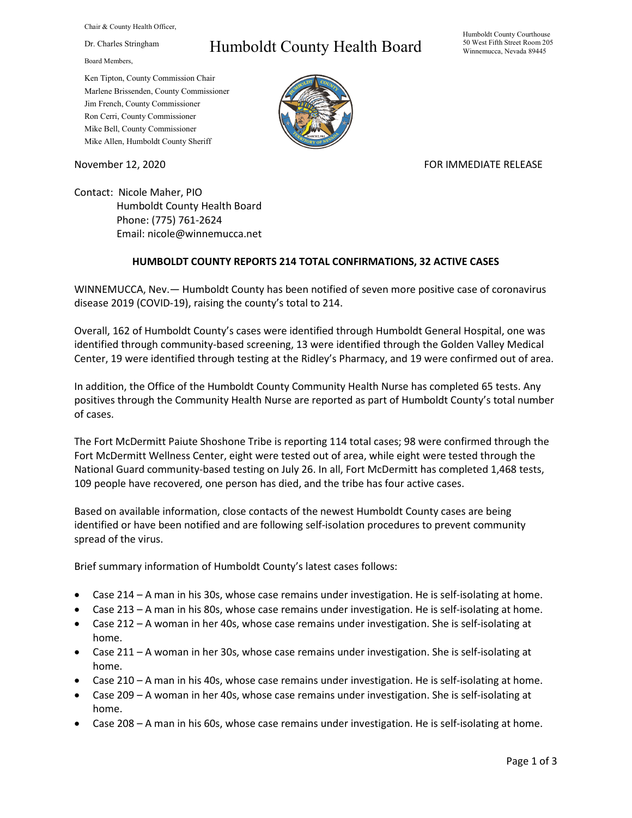Chair & County Health Officer,

Dr. Charles Stringham

Board Members,

## Humboldt County Health Board

Humboldt County Courthouse 50 West Fifth Street Room 205 Winnemucca, Nevada 89445

Ken Tipton, County Commission Chair Marlene Brissenden, County Commissioner Jim French, County Commissioner Ron Cerri, County Commissioner Mike Bell, County Commissioner Mike Allen, Humboldt County Sheriff

November 12, 2020 FOR IMMEDIATE RELEASE

Contact: Nicole Maher, PIO Humboldt County Health Board Phone: (775) 761-2624 Email: nicole@winnemucca.net

## **HUMBOLDT COUNTY REPORTS 214 TOTAL CONFIRMATIONS, 32 ACTIVE CASES**

WINNEMUCCA, Nev.— Humboldt County has been notified of seven more positive case of coronavirus disease 2019 (COVID-19), raising the county's total to 214.

Overall, 162 of Humboldt County's cases were identified through Humboldt General Hospital, one was identified through community-based screening, 13 were identified through the Golden Valley Medical Center, 19 were identified through testing at the Ridley's Pharmacy, and 19 were confirmed out of area.

In addition, the Office of the Humboldt County Community Health Nurse has completed 65 tests. Any positives through the Community Health Nurse are reported as part of Humboldt County's total number of cases.

The Fort McDermitt Paiute Shoshone Tribe is reporting 114 total cases; 98 were confirmed through the Fort McDermitt Wellness Center, eight were tested out of area, while eight were tested through the National Guard community-based testing on July 26. In all, Fort McDermitt has completed 1,468 tests, 109 people have recovered, one person has died, and the tribe has four active cases.

Based on available information, close contacts of the newest Humboldt County cases are being identified or have been notified and are following self-isolation procedures to prevent community spread of the virus.

Brief summary information of Humboldt County's latest cases follows:

- Case 214 A man in his 30s, whose case remains under investigation. He is self-isolating at home.
- Case 213 A man in his 80s, whose case remains under investigation. He is self-isolating at home.
- Case 212 A woman in her 40s, whose case remains under investigation. She is self-isolating at home.
- Case 211 A woman in her 30s, whose case remains under investigation. She is self-isolating at home.
- Case 210 A man in his 40s, whose case remains under investigation. He is self-isolating at home.
- Case 209 A woman in her 40s, whose case remains under investigation. She is self-isolating at home.
- Case 208 A man in his 60s, whose case remains under investigation. He is self-isolating at home.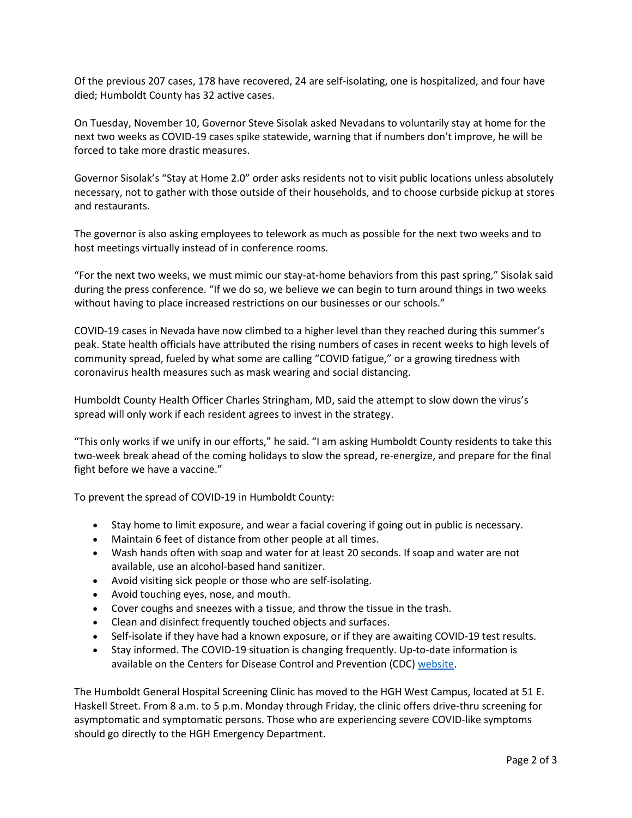Of the previous 207 cases, 178 have recovered, 24 are self-isolating, one is hospitalized, and four have died; Humboldt County has 32 active cases.

On Tuesday, November 10, Governor Steve Sisolak asked Nevadans to voluntarily stay at home for the next two weeks as COVID-19 cases spike statewide, warning that if numbers don't improve, he will be forced to take more drastic measures.

Governor Sisolak's "Stay at Home 2.0" order asks residents not to visit public locations unless absolutely necessary, not to gather with those outside of their households, and to choose curbside pickup at stores and restaurants.

The governor is also asking employees to telework as much as possible for the next two weeks and to host meetings virtually instead of in conference rooms.

"For the next two weeks, we must mimic our stay-at-home behaviors from this past spring," Sisolak said during the press conference. "If we do so, we believe we can begin to turn around things in two weeks without having to place increased restrictions on our businesses or our schools."

COVID-19 cases in Nevada have now climbed to a higher level than they reached during this summer's peak. State health officials have attributed the rising numbers of cases in recent weeks to high levels of community spread, fueled by what some are calling "COVID fatigue," or a growing tiredness with coronavirus health measures such as mask wearing and social distancing.

Humboldt County Health Officer Charles Stringham, MD, said the attempt to slow down the virus's spread will only work if each resident agrees to invest in the strategy.

"This only works if we unify in our efforts," he said. "I am asking Humboldt County residents to take this two-week break ahead of the coming holidays to slow the spread, re-energize, and prepare for the final fight before we have a vaccine."

To prevent the spread of COVID-19 in Humboldt County:

- Stay home to limit exposure, and wear a facial covering if going out in public is necessary.
- Maintain 6 feet of distance from other people at all times.
- Wash hands often with soap and water for at least 20 seconds. If soap and water are not available, use an alcohol-based hand sanitizer.
- Avoid visiting sick people or those who are self-isolating.
- Avoid touching eyes, nose, and mouth.
- Cover coughs and sneezes with a tissue, and throw the tissue in the trash.
- Clean and disinfect frequently touched objects and surfaces.
- Self-isolate if they have had a known exposure, or if they are awaiting COVID-19 test results.
- Stay informed. The COVID-19 situation is changing frequently. Up-to-date information is available on the Centers for Disease Control and Prevention (CDC) [website.](http://www.cdc.gov/coronavirus/2019-ncov/index.html)

The Humboldt General Hospital Screening Clinic has moved to the HGH West Campus, located at 51 E. Haskell Street. From 8 a.m. to 5 p.m. Monday through Friday, the clinic offers drive-thru screening for asymptomatic and symptomatic persons. Those who are experiencing severe COVID-like symptoms should go directly to the HGH Emergency Department.